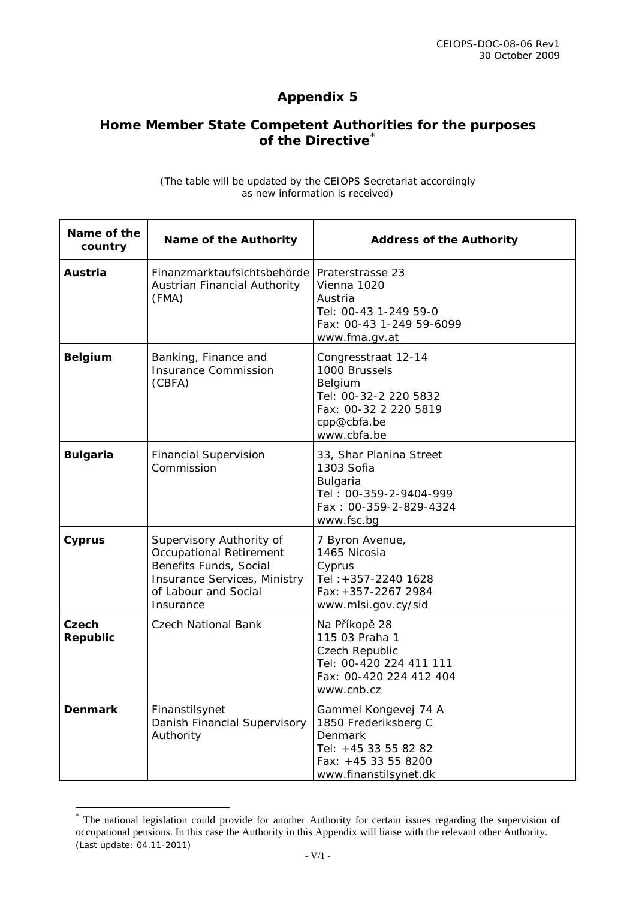## **Appendix 5**

## **Home Member State Competent Authorities for the purposes of the Directive[\\*](#page-0-0)**

| (The table will be updated by the CEIOPS Secretariat accordingly |  |  |
|------------------------------------------------------------------|--|--|
| as new information is received)                                  |  |  |

| Name of the<br>country | Name of the Authority                                                                                                                                     | <b>Address of the Authority</b>                                                                                                        |
|------------------------|-----------------------------------------------------------------------------------------------------------------------------------------------------------|----------------------------------------------------------------------------------------------------------------------------------------|
| Austria                | Finanzmarktaufsichtsbehörde<br>Austrian Financial Authority<br>(FMA)                                                                                      | Praterstrasse 23<br>Vienna 1020<br>Austria<br>Tel: 00-43 1-249 59-0<br>Fax: 00-43 1-249 59-6099<br>www.fma.gv.at                       |
| <b>Belgium</b>         | Banking, Finance and<br><b>Insurance Commission</b><br>(CBFA)                                                                                             | Congresstraat 12-14<br>1000 Brussels<br>Belgium<br>Tel: 00-32-2 220 5832<br>Fax: 00-32 2 220 5819<br>cpp@cbfa.be<br>www.cbfa.be        |
| <b>Bulgaria</b>        | <b>Financial Supervision</b><br>Commission                                                                                                                | 33, Shar Planina Street<br>1303 Sofia<br>Bulgaria<br>Tel: 00-359-2-9404-999<br>Fax: 00-359-2-829-4324<br>www.fsc.bg                    |
| <b>Cyprus</b>          | Supervisory Authority of<br><b>Occupational Retirement</b><br>Benefits Funds, Social<br>Insurance Services, Ministry<br>of Labour and Social<br>Insurance | 7 Byron Avenue,<br>1465 Nicosia<br>Cyprus<br>Tel: +357-2240 1628<br>Fax: +357-2267 2984<br>www.mlsi.gov.cy/sid                         |
| Czech<br>Republic      | Czech National Bank                                                                                                                                       | Na Příkopě 28<br>115 03 Praha 1<br>Czech Republic<br>Tel: 00-420 224 411 111<br>Fax: 00-420 224 412 404<br>www.cnb.cz                  |
| <b>Denmark</b>         | Finanstilsynet<br>Danish Financial Supervisory<br>Authority                                                                                               | Gammel Kongevej 74 A<br>1850 Frederiksberg C<br><b>Denmark</b><br>Tel: +45 33 55 82 82<br>Fax: +45 33 55 8200<br>www.finanstilsynet.dk |

<span id="page-0-0"></span><sup>(</sup>Last update: 04.11-2011) \* The national legislation could provide for another Authority for certain issues regarding the supervision of occupational pensions. In this case the Authority in this Appendix will liaise with the relevant other Authority.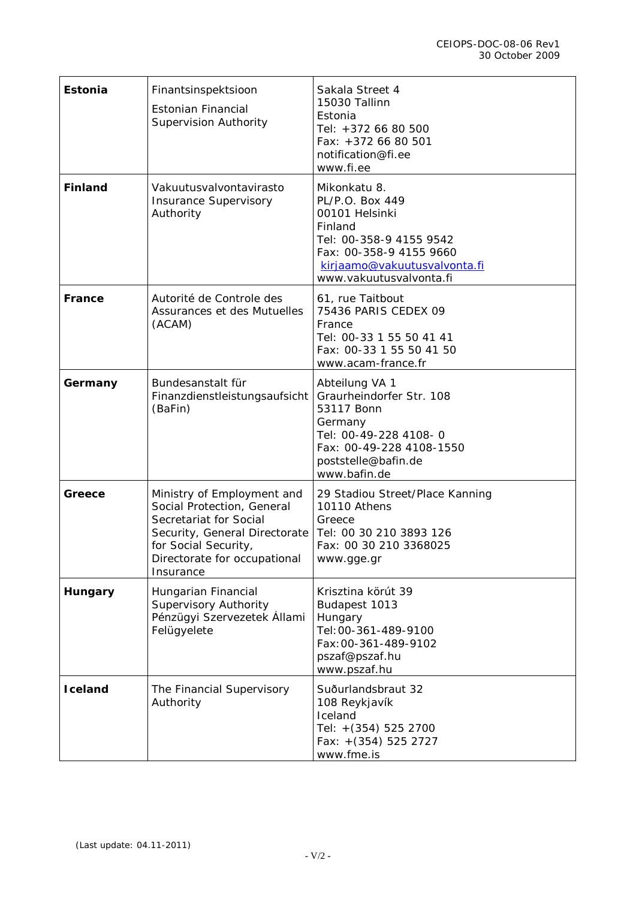| Estonia        | Finantsinspektsioon<br><b>Estonian Financial</b><br><b>Supervision Authority</b>                                                                                                         | Sakala Street 4<br>15030 Tallinn<br>Estonia<br>Tel: +372 66 80 500<br>Fax: +372 66 80 501<br>notification@fi.ee<br>www.fi.ee                                                  |
|----------------|------------------------------------------------------------------------------------------------------------------------------------------------------------------------------------------|-------------------------------------------------------------------------------------------------------------------------------------------------------------------------------|
| <b>Finland</b> | Vakuutusvalvontavirasto<br><b>Insurance Supervisory</b><br>Authority                                                                                                                     | Mikonkatu 8.<br>PL/P.O. Box 449<br>00101 Helsinki<br>Finland<br>Tel: 00-358-9 4155 9542<br>Fax: 00-358-9 4155 9660<br>kirjaamo@vakuutusvalvonta.fi<br>www.vakuutusvalvonta.fi |
| France         | Autorité de Controle des<br>Assurances et des Mutuelles<br>(ACAM)                                                                                                                        | 61, rue Taitbout<br>75436 PARIS CEDEX 09<br>France<br>Tel: 00-33 1 55 50 41 41<br>Fax: 00-33 1 55 50 41 50<br>www.acam-france.fr                                              |
| Germany        | Bundesanstalt für<br>Finanzdienstleistungsaufsicht<br>(BaFin)                                                                                                                            | Abteilung VA 1<br>Graurheindorfer Str. 108<br>53117 Bonn<br>Germany<br>Tel: 00-49-228 4108-0<br>Fax: 00-49-228 4108-1550<br>poststelle@bafin.de<br>www.bafin.de               |
| Greece         | Ministry of Employment and<br>Social Protection, General<br>Secretariat for Social<br>Security, General Directorate<br>for Social Security,<br>Directorate for occupational<br>Insurance | 29 Stadiou Street/Place Kanning<br>10110 Athens<br>Greece<br>Tel: 00 30 210 3893 126<br>Fax: 00 30 210 3368025<br>www.gge.gr                                                  |
| Hungary        | Hungarian Financial<br><b>Supervisory Authority</b><br>Pénzügyi Szervezetek Állami<br>Felügyelete                                                                                        | Krisztina körút 39<br>Budapest 1013<br>Hungary<br>Tel: 00-361-489-9100<br>Fax: 00-361-489-9102<br>pszaf@pszaf.hu<br>www.pszaf.hu                                              |
| <b>Iceland</b> | The Financial Supervisory<br>Authority                                                                                                                                                   | Suðurlandsbraut 32<br>108 Reykjavík<br>Iceland<br>Tel: +(354) 525 2700<br>Fax: +(354) 525 2727<br>www.fme.is                                                                  |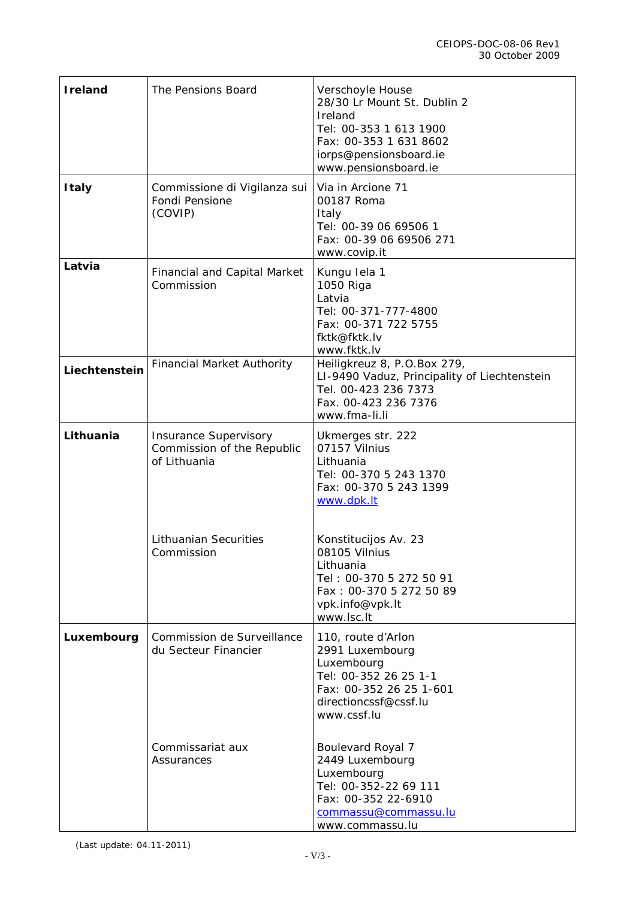| <b>Ireland</b> | The Pensions Board                                                         | Verschoyle House<br>28/30 Lr Mount St. Dublin 2<br>Ireland<br>Tel: 00-353 1 613 1900<br>Fax: 00-353 1 631 8602<br>iorps@pensionsboard.ie<br>www.pensionsboard.ie |
|----------------|----------------------------------------------------------------------------|------------------------------------------------------------------------------------------------------------------------------------------------------------------|
| <b>Italy</b>   | Commissione di Vigilanza sui<br>Fondi Pensione<br>(COVIP)                  | Via in Arcione 71<br>00187 Roma<br>Italy<br>Tel: 00-39 06 69506 1<br>Fax: 00-39 06 69506 271<br>www.covip.it                                                     |
| Latvia         | <b>Financial and Capital Market</b><br>Commission                          | Kungu lela 1<br>1050 Riga<br>Latvia<br>Tel: 00-371-777-4800<br>Fax: 00-371 722 5755<br>fktk@fktk.lv<br>www.fktk.lv                                               |
| Liechtenstein  | <b>Financial Market Authority</b>                                          | Heiligkreuz 8, P.O.Box 279,<br>LI-9490 Vaduz, Principality of Liechtenstein<br>Tel. 00-423 236 7373<br>Fax. 00-423 236 7376<br>www.fma-li.li                     |
| Lithuania      | <b>Insurance Supervisory</b><br>Commission of the Republic<br>of Lithuania | Ukmerges str. 222<br>07157 Vilnius<br>Lithuania<br>Tel: 00-370 5 243 1370<br>Fax: 00-370 5 243 1399<br>www.dpk.lt                                                |
|                | <b>Lithuanian Securities</b><br>Commission                                 | Konstitucijos Av. 23<br>08105 Vilnius<br>Lithuania<br>Tel: 00-370 5 272 50 91<br>Fax: 00-370 5 272 50 89<br>vpk.info@vpk.lt<br>www.lsc.lt                        |
| Luxembourg     | Commission de Surveillance<br>du Secteur Financier                         | 110, route d'Arlon<br>2991 Luxembourg<br>Luxembourg<br>Tel: 00-352 26 25 1-1<br>Fax: 00-352 26 25 1-601<br>directioncssf@cssf.lu<br>www.cssf.lu                  |
|                | Commissariat aux<br>Assurances                                             | <b>Boulevard Royal 7</b><br>2449 Luxembourg<br>Luxembourg<br>Tel: 00-352-22 69 111<br>Fax: 00-352 22-6910<br>commassu@commassu.lu<br>www.commassu.lu             |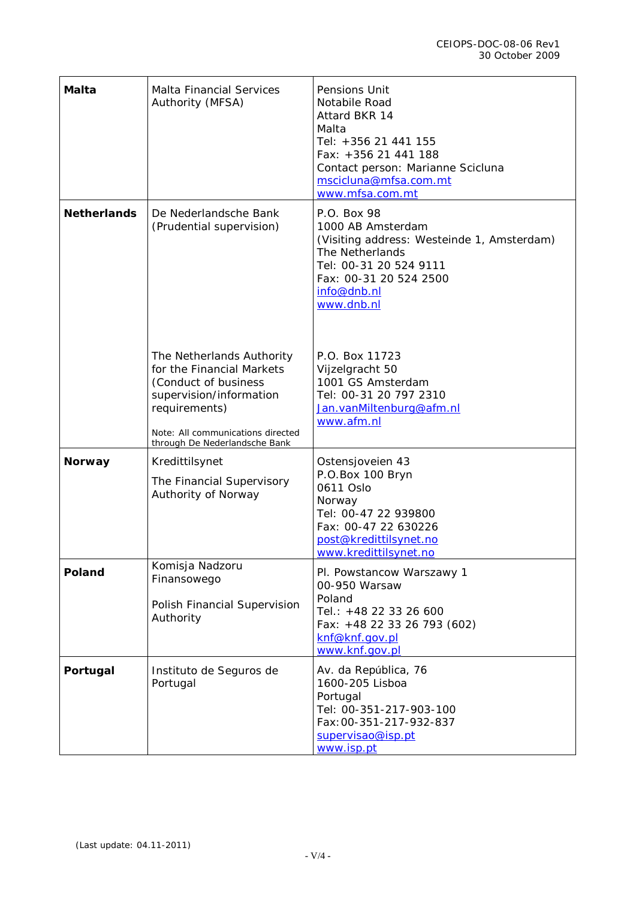| Malta              | <b>Malta Financial Services</b><br>Authority (MFSA)                                                                                                                                              | Pensions Unit<br>Notabile Road<br>Attard BKR 14<br>Malta<br>Tel: +356 21 441 155<br>Fax: +356 21 441 188<br>Contact person: Marianne Scicluna<br>mscicluna@mfsa.com.mt<br>www.mfsa.com.mt |
|--------------------|--------------------------------------------------------------------------------------------------------------------------------------------------------------------------------------------------|-------------------------------------------------------------------------------------------------------------------------------------------------------------------------------------------|
| <b>Netherlands</b> | De Nederlandsche Bank<br>(Prudential supervision)                                                                                                                                                | P.O. Box 98<br>1000 AB Amsterdam<br>(Visiting address: Westeinde 1, Amsterdam)<br>The Netherlands<br>Tel: 00-31 20 524 9111<br>Fax: 00-31 20 524 2500<br>info@dnb.nl<br>www.dnb.nl        |
|                    | The Netherlands Authority<br>for the Financial Markets<br>(Conduct of business<br>supervision/information<br>requirements)<br>Note: All communications directed<br>through De Nederlandsche Bank | P.O. Box 11723<br>Vijzelgracht 50<br>1001 GS Amsterdam<br>Tel: 00-31 20 797 2310<br>Jan.vanMiltenburg@afm.nl<br>www.afm.nl                                                                |
| <b>Norway</b>      | Kredittilsynet<br>The Financial Supervisory<br>Authority of Norway                                                                                                                               | Ostensjoveien 43<br>P.O.Box 100 Bryn<br>0611 Oslo<br>Norway<br>Tel: 00-47 22 939800<br>Fax: 00-47 22 630226<br>post@kredittilsynet.no<br>www.kredittilsynet.no                            |
| <b>Poland</b>      | Komisja Nadzoru<br>Finansowego<br>Polish Financial Supervision<br>Authority                                                                                                                      | Pl. Powstancow Warszawy 1<br>00-950 Warsaw<br>Poland<br>Tel.: +48 22 33 26 600<br>Fax: +48 22 33 26 793 (602)<br>knf@knf.gov.pl<br>www.knf.gov.pl                                         |
| Portugal           | Instituto de Seguros de<br>Portugal                                                                                                                                                              | Av. da República, 76<br>1600-205 Lisboa<br>Portugal<br>Tel: 00-351-217-903-100<br>Fax: 00-351-217-932-837<br>supervisao@isp.pt<br>www.isp.pt                                              |